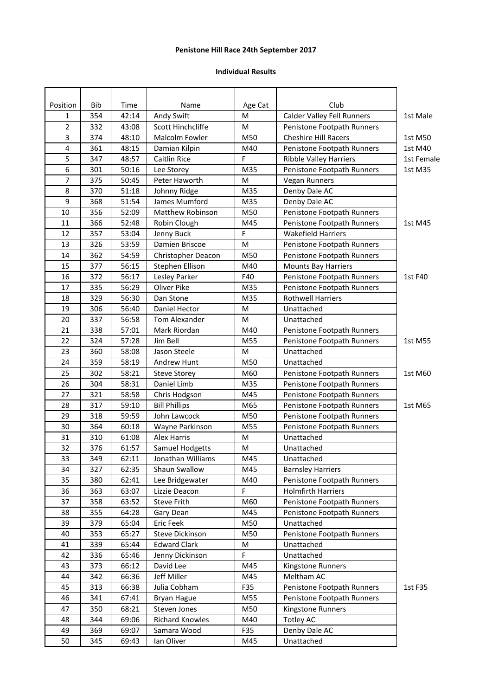## **Penistone Hill Race 24th September 2017**

## **Individual Results**

| Position       | Bib | Time  | Name                    | Age Cat | Club                              |            |
|----------------|-----|-------|-------------------------|---------|-----------------------------------|------------|
| 1              | 354 | 42:14 | Andy Swift              | M       | <b>Calder Valley Fell Runners</b> | 1st Male   |
| $\overline{2}$ | 332 | 43:08 | Scott Hinchcliffe       | M       | Penistone Footpath Runners        |            |
| 3              | 374 | 48:10 | Malcolm Fowler          | M50     | <b>Cheshire Hill Racers</b>       | 1st M50    |
| 4              | 361 | 48:15 | Damian Kilpin           | M40     | Penistone Footpath Runners        | 1st M40    |
| 5              | 347 | 48:57 | <b>Caitlin Rice</b>     | F       | <b>Ribble Valley Harriers</b>     | 1st Female |
| 6              | 301 | 50:16 | Lee Storey              | M35     | Penistone Footpath Runners        | 1st M35    |
| 7              | 375 | 50:45 | Peter Haworth           | M       | <b>Vegan Runners</b>              |            |
| 8              | 370 | 51:18 | Johnny Ridge            | M35     | Denby Dale AC                     |            |
| 9              | 368 | 51:54 | James Mumford           | M35     | Denby Dale AC                     |            |
| 10             | 356 | 52:09 | <b>Matthew Robinson</b> | M50     | Penistone Footpath Runners        |            |
| 11             | 366 | 52:48 | Robin Clough            | M45     | Penistone Footpath Runners        | 1st M45    |
| 12             | 357 | 53:04 | Jenny Buck              | F       | <b>Wakefield Harriers</b>         |            |
| 13             | 326 | 53:59 | Damien Briscoe          | M       | Penistone Footpath Runners        |            |
| 14             | 362 | 54:59 | Christopher Deacon      | M50     | Penistone Footpath Runners        |            |
| 15             | 377 | 56:15 | Stephen Ellison         | M40     | <b>Mounts Bay Harriers</b>        |            |
| 16             | 372 | 56:17 | Lesley Parker           | F40     | Penistone Footpath Runners        | 1st F40    |
| 17             | 335 | 56:29 | Oliver Pike             | M35     | Penistone Footpath Runners        |            |
| 18             | 329 | 56:30 | Dan Stone               | M35     | <b>Rothwell Harriers</b>          |            |
| 19             | 306 | 56:40 | Daniel Hector           | M       | Unattached                        |            |
| 20             | 337 | 56:58 | Tom Alexander           | M       | Unattached                        |            |
| 21             | 338 | 57:01 | Mark Riordan            | M40     | Penistone Footpath Runners        |            |
| 22             | 324 | 57:28 | Jim Bell                | M55     | Penistone Footpath Runners        | 1st M55    |
| 23             | 360 | 58:08 | Jason Steele            | M       | Unattached                        |            |
| 24             | 359 | 58:19 | Andrew Hunt             | M50     | Unattached                        |            |
| 25             | 302 | 58:21 | <b>Steve Storey</b>     | M60     | Penistone Footpath Runners        | 1st M60    |
| 26             | 304 | 58:31 | Daniel Limb             | M35     | Penistone Footpath Runners        |            |
| 27             | 321 | 58:58 | Chris Hodgson           | M45     | Penistone Footpath Runners        |            |
| 28             | 317 | 59:10 | <b>Bill Phillips</b>    | M65     | Penistone Footpath Runners        | 1st M65    |
| 29             | 318 | 59:59 | John Lawcock            | M50     | Penistone Footpath Runners        |            |
| 30             | 364 | 60:18 | Wayne Parkinson         | M55     | Penistone Footpath Runners        |            |
| 31             | 310 | 61:08 | <b>Alex Harris</b>      | М       | Unattached                        |            |
| 32             | 376 | 61:57 | <b>Samuel Hodgetts</b>  | M       | Unattached                        |            |
| 33             | 349 | 62:11 | Jonathan Williams       | M45     | Unattached                        |            |
| 34             | 327 | 62:35 | Shaun Swallow           | M45     | <b>Barnsley Harriers</b>          |            |
| 35             | 380 | 62:41 | Lee Bridgewater         | M40     | Penistone Footpath Runners        |            |
| 36             | 363 | 63:07 | Lizzie Deacon           | F       | <b>Holmfirth Harriers</b>         |            |
| 37             | 358 | 63:52 | <b>Steve Frith</b>      | M60     | Penistone Footpath Runners        |            |
| 38             | 355 | 64:28 | Gary Dean               | M45     | Penistone Footpath Runners        |            |
| 39             | 379 | 65:04 | Eric Feek               | M50     | Unattached                        |            |
| 40             | 353 | 65:27 | Steve Dickinson         | M50     | Penistone Footpath Runners        |            |
| 41             | 339 | 65:44 | <b>Edward Clark</b>     | M       | Unattached                        |            |
| 42             | 336 | 65:46 | Jenny Dickinson         | F       | Unattached                        |            |
| 43             | 373 | 66:12 | David Lee               | M45     | Kingstone Runners                 |            |
| 44             | 342 | 66:36 | Jeff Miller             | M45     | Meltham AC                        |            |
| 45             | 313 | 66:38 | Julia Cobham            | F35     | Penistone Footpath Runners        | 1st F35    |
| 46             | 341 | 67:41 | <b>Bryan Hague</b>      | M55     | Penistone Footpath Runners        |            |
| 47             | 350 | 68:21 | Steven Jones            | M50     | Kingstone Runners                 |            |
| 48             | 344 | 69:06 | Richard Knowles         | M40     | <b>Totley AC</b>                  |            |
| 49             | 369 | 69:07 | Samara Wood             | F35     | Denby Dale AC                     |            |
| 50             | 345 | 69:43 | Ian Oliver              | M45     | Unattached                        |            |